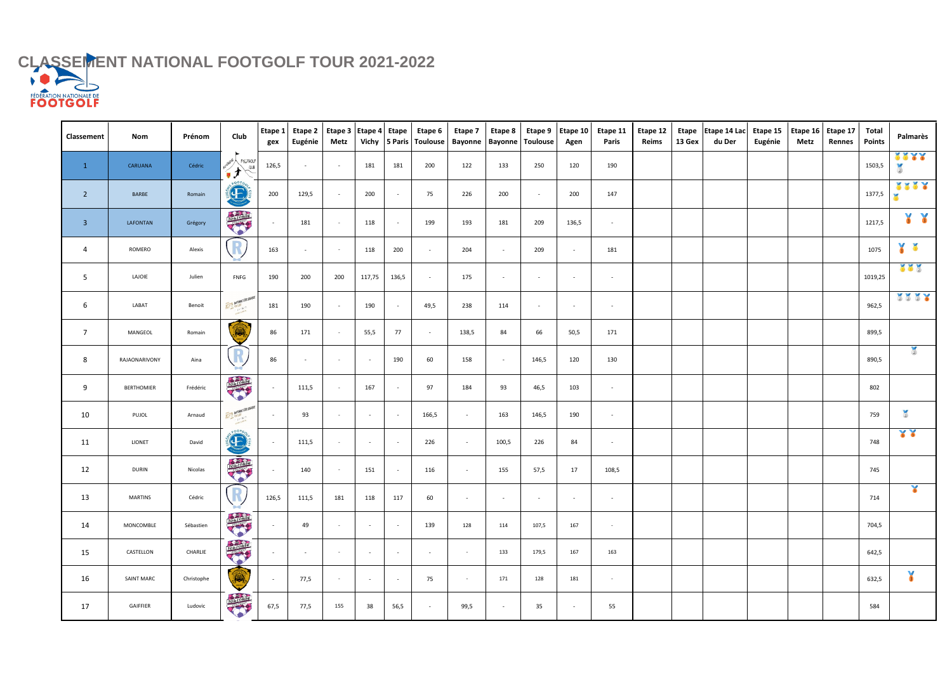## CLASSEMENT NATIONAL FOOTGOLF TOUR 2021-2022

| Classement              | <b>Nom</b>        | Prénom     | Club                             | gex                      | Etape 1   Etape 2   Etape 3   Etape 4   Etape<br>Eugénie | Metz                     |                          |                          | Etape 6<br>Vichy 5 Paris Toulouse | Etape 7<br>Bayonne       | Etape 8<br><b>Bayonne Toulouse</b> |                          | Etape 9   Etape 10  <br>Agen | Etape 11<br><b>Paris</b> | Etape 12<br>Reims | 13 Gex | Etape Etape 14 Lac<br>du Der | Etape 15<br>Eugénie | Metz | Etape 16 Etape 17<br>Rennes | <b>Total</b><br><b>Points</b> | Palmarès                  |
|-------------------------|-------------------|------------|----------------------------------|--------------------------|----------------------------------------------------------|--------------------------|--------------------------|--------------------------|-----------------------------------|--------------------------|------------------------------------|--------------------------|------------------------------|--------------------------|-------------------|--------|------------------------------|---------------------|------|-----------------------------|-------------------------------|---------------------------|
| $\mathbf{1}$            | CARUANA           | Cédric     | AUVERGNE FELTGOLF                | 126,5                    | $\sim$                                                   | $\overline{\phantom{a}}$ | 181                      | 181                      | 200                               | 122                      | 133                                | 250                      | 120                          | 190                      |                   |        |                              |                     |      |                             | 1503,5                        | 2222<br>$\left( 2\right)$ |
| $\overline{2}$          | <b>BARBE</b>      | Romain     | 60076<br>$\bigoplus$             | 200                      | 129,5                                                    |                          | 200                      | $\overline{\phantom{a}}$ | 75                                | 226                      | 200                                | $\overline{\phantom{a}}$ | 200                          | 147                      |                   |        |                              |                     |      |                             | 1377,5                        | 2222                      |
| $\overline{\mathbf{3}}$ | <b>LAFONTAN</b>   | Grégory    | <b>TOULOUSE</b>                  | $\sim$                   | 181                                                      |                          | 118                      | $\overline{\phantom{a}}$ | 199                               | 193                      | 181                                | 209                      | 136,5                        | $\overline{\phantom{a}}$ |                   |        |                              |                     |      |                             | 1217,5                        | YY                        |
| 4                       | ROMERO            | Alexis     |                                  | 163                      | $\sim$                                                   | $\sim$                   | 118                      | 200                      | $\overline{a}$                    | 204                      | $\sim$                             | 209                      | $\sim$                       | 181                      |                   |        |                              |                     |      |                             | 1075                          | $\frac{1}{3}$             |
| 5                       | LAJOIE            | Julien     | FNFG                             | 190                      | 200                                                      | 200                      | 117,75                   | 136,5                    | $\overline{a}$                    | 175                      | $\overline{\phantom{a}}$           | $\sim$                   | $\overline{\phantom{a}}$     | $\sim$                   |                   |        |                              |                     |      |                             | 1019,25                       | 222                       |
| 6                       | LABAT             | Benoit     | <b>ASPIT BAYONAE COTE BASQUE</b> | 181                      | 190                                                      | $\overline{\phantom{a}}$ | 190                      | $\overline{\phantom{a}}$ | 49,5                              | 238                      | 114                                | $\sim$                   | $\overline{\phantom{a}}$     | $\sim$                   |                   |        |                              |                     |      |                             | 962,5                         | 1117                      |
| $\overline{7}$          | MANGEOL           | Romain     | ۱                                | 86                       | 171                                                      |                          | 55,5                     | 77                       | $\overline{a}$                    | 138,5                    | 84                                 | 66                       | 50,5                         | 171                      |                   |        |                              |                     |      |                             | 899,5                         |                           |
| 8                       | RAJAONARIVONY     | Aina       | K                                | 86                       | $\sim$                                                   | $\sim$                   | $\sim$                   | 190                      | 60                                | 158                      | $\sim$                             | 146,5                    | 120                          | 130                      |                   |        |                              |                     |      |                             | 890,5                         |                           |
| 9                       | <b>BERTHOMIER</b> | Frédéric   | TOLICONS                         | $\sim$                   | 111,5                                                    |                          | 167                      | $\overline{\phantom{a}}$ | 97                                | 184                      | 93                                 | 46,5                     | 103                          | $\sim$                   |                   |        |                              |                     |      |                             | 802                           |                           |
| 10                      | PUJOL             | Arnaud     | ASPIT BAYONAF COTE BASQUE        | $\overline{\phantom{0}}$ | 93                                                       |                          | $\sim$                   | $\sim$                   | 166,5                             | $\overline{\phantom{0}}$ | 163                                | 146,5                    | 190                          | $\overline{\phantom{a}}$ |                   |        |                              |                     |      |                             | 759                           | $\frac{1}{2}$             |
| 11                      | <b>LIONET</b>     | David      | E                                | $\sim$                   | 111,5                                                    | $\sim$                   | $\overline{\phantom{a}}$ | $\sim$                   | 226                               | $\sim$                   | 100,5                              | 226                      | 84                           | $\sim$                   |                   |        |                              |                     |      |                             | 748                           | 33                        |
| 12                      | <b>DURIN</b>      | Nicolas    | TOMOCRES                         |                          | 140                                                      |                          | 151                      | $\sim$                   | 116                               | $\sim$                   | 155                                | 57,5                     | 17                           | 108,5                    |                   |        |                              |                     |      |                             | 745                           |                           |
| 13                      | <b>MARTINS</b>    | Cédric     |                                  | 126,5                    | 111,5                                                    | 181                      | 118                      | 117                      | 60                                | $\sim$                   | $\sim$                             | $\sim$                   | $\sim$                       | $\sim$                   |                   |        |                              |                     |      |                             | 714                           | $\frac{1}{3}$             |
| 14                      | MONCOMBLE         | Sébastien  | <b>TOLIDER</b>                   | $\overline{\phantom{0}}$ | 49                                                       | $\sim$                   | $\overline{\phantom{a}}$ | $\sim$ $-$               | 139                               | 128                      | 114                                | 107,5                    | 167                          | $\sim$                   |                   |        |                              |                     |      |                             | 704,5                         |                           |
| 15                      | CASTELLON         | CHARLIE    | TOLLONG                          | $\sim$                   | $\sim$                                                   | $\sim$                   | $\overline{\phantom{a}}$ | $\sim$                   | $\sim$                            | $\sim$ $ \sim$           | 133                                | 179,5                    | 167                          | 163                      |                   |        |                              |                     |      |                             | 642,5                         |                           |
| 16                      | <b>SAINT MARC</b> | Christophe | O.                               | $\sim$                   | 77,5                                                     | $\sim$                   | $\sim$                   | $\sim$                   | 75                                | $\sim$ $ \sim$           | 171                                | 128                      | 181                          | $\sim$                   |                   |        |                              |                     |      |                             | 632,5                         | ¥                         |
| 17                      | GAIFFIER          | Ludovic    | <b>TOLLOWS</b>                   | 67,5                     | 77,5                                                     | 155                      | 38                       | 56,5                     | $\overline{\phantom{a}}$          | 99,5                     | $\overline{\phantom{a}}$           | 35                       | $\overline{\phantom{a}}$     | 55                       |                   |        |                              |                     |      |                             | 584                           |                           |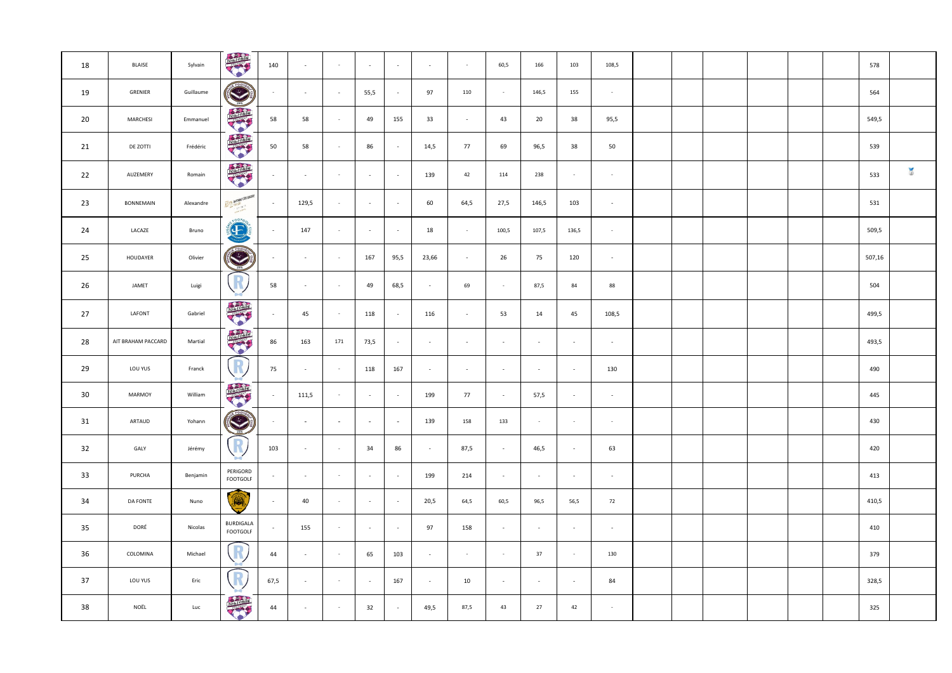| 18              | <b>BLAISE</b>      | Sylvain   | TONICONSE                      | 140    | $\sim$                   | $\sim$     | $\sim$                   | $\sim$ | $\sim$ | $\sim$ | 60,5                     | 166    | 103        | 108,5          |  |  |  | 578    |                |
|-----------------|--------------------|-----------|--------------------------------|--------|--------------------------|------------|--------------------------|--------|--------|--------|--------------------------|--------|------------|----------------|--|--|--|--------|----------------|
| 19              | GRENIER            | Guillaume | O                              | $\sim$ | $\sim$                   | $\sim$     | 55,5                     | $-$    | 97     | 110    | $\sim$                   | 146,5  | 155        | $\sim$ $ \sim$ |  |  |  | 564    |                |
| 20              | <b>MARCHESI</b>    | Emmanuel  |                                | 58     | 58                       | $\sim$     | 49                       | 155    | 33     | $\sim$ | 43                       | 20     | 38         | 95,5           |  |  |  | 549,5  |                |
| 21              | DE ZOTTI           | Frédéric  | TOLLLOWS                       | $50\,$ | 58                       | $\sim$     | 86                       | $\sim$ | 14,5   | 77     | 69                       | 96,5   | 38         | 50             |  |  |  | 539    |                |
| 22              | AUZEMERY           | Romain    | TOLILOLSE                      | $\sim$ | $\overline{\phantom{a}}$ | $\sim$     | $\overline{\phantom{a}}$ | $\sim$ | 139    | 42     | 114                      | 238    | $\sim$     | $\sim$         |  |  |  | 533    | $\overline{2}$ |
| 23              | <b>BONNEMAIN</b>   | Alexandre | <b>BAYONAE COTE BASQUE</b>     | $\sim$ | 129,5                    | $\sim$     | $\overline{\phantom{a}}$ | $-$    | 60     | 64,5   | 27,5                     | 146,5  | 103        | $\sim$         |  |  |  | 531    |                |
| 24              | LACAZE             | Bruno     | .007<br>E                      | $\sim$ | 147                      |            | $\overline{\phantom{a}}$ | $\sim$ | 18     | $\sim$ | 100,5                    | 107,5  | 136,5      | $\sim$         |  |  |  | 509,5  |                |
| 25              | HOUDAYER           | Olivier   | E                              | $\sim$ | $\sim$                   | $\sim$ $-$ | 167                      | 95,5   | 23,66  | $\sim$ | 26                       | 75     | 120        | $\sim$         |  |  |  | 507,16 |                |
| 26              | JAMET              | Luigi     | R                              | 58     | $\overline{\phantom{a}}$ | $\sim$     | 49                       | 68,5   | $\sim$ | 69     | $\sim$                   | 87,5   | 84         | 88             |  |  |  | 504    |                |
| 27              | LAFONT             | Gabriel   | <b>TONICONS</b>                | $\sim$ | 45                       | $\sim$     | 118                      | $\sim$ | 116    | $\sim$ | 53                       | 14     | 45         | 108,5          |  |  |  | 499,5  |                |
| 28              | AIT BRAHAM PACCARD | Martial   | TOLTONS                        | 86     | 163                      | 171        | 73,5                     | $\sim$ | $\sim$ | $\sim$ | $\sim$                   | $\sim$ | $\sim$     | $\sim$         |  |  |  | 493,5  |                |
| 29              | LOU YUS            | Franck    | R                              | 75     | $\sim$                   | $\sim$ $-$ | 118                      | 167    | $\sim$ | $\sim$ | $\overline{\phantom{a}}$ | $\sim$ | $\sim$     | 130            |  |  |  | 490    |                |
| 30 <sub>o</sub> | MARMOY             | William   | <b>TOURISE</b>                 | $\sim$ | 111,5                    | $\sim$     | $\sim$                   | $-$    | 199    | 77     | $\sim$                   | 57,5   | $\sim$     | $\sim$         |  |  |  | 445    |                |
| 31              | ARTAUD             | Yohann    | <b>CENTRAL CONTROL</b><br>2015 | $\sim$ | $\sim$                   | $\sim$     | $\overline{\phantom{a}}$ | $\sim$ | 139    | 158    | 133                      | $\sim$ | $\sim$ $-$ | $\sim$         |  |  |  | 430    |                |
| 32              | GALY               | Jérémy    | R                              | 103    | $\sim$                   | $\sim$ $-$ | 34                       | 86     | $\sim$ | 87,5   | $\sim$                   | 46,5   | $\sim$     | 63             |  |  |  | 420    |                |
| 33              | <b>PURCHA</b>      | Benjamin  | PERIGORD<br><b>FOOTGOLF</b>    | $\sim$ | $\sim$                   | $\sim$     | $\sim$ $-$               | $\sim$ | 199    | 214    | $\sim$                   | $\sim$ | $\sim$     | $\sim$         |  |  |  | 413    |                |
| 34              | DA FONTE           | Nuno      | $\bigcirc$                     | $\sim$ | 40                       | $\sim$     | $\sim$                   | $-$    | 20,5   | 64,5   | 60,5                     | 96,5   | 56,5       | 72             |  |  |  | 410,5  |                |
| 35              | DORÉ               | Nicolas   | <b>BURDIGALA</b><br>FOOTGOLF   | $\sim$ | 155                      | $\sim$     | $\overline{\phantom{a}}$ | $-$    | 97     | 158    | $\sim$                   | $\sim$ | $\sim$     | $\sim$         |  |  |  | 410    |                |
| 36              | COLOMINA           | Michael   | R                              | 44     | $\sim$                   | $\sim$ $-$ | 65                       | 103    | $\sim$ | $\sim$ | $\sim$                   | 37     | $\sim$     | 130            |  |  |  | 379    |                |
| 37              | LOU YUS            | Eric      | R                              | 67,5   | $\sim$                   | $\sim$     | $\sim$ $-$               | 167    | $\sim$ | 10     | $\overline{\phantom{0}}$ | $\sim$ | $\sim$ $-$ | 84             |  |  |  | 328,5  |                |
| 38              | NOËL               | Luc       | TONICONSE                      | 44     | $\sim$                   | $\sim$ $-$ | 32                       | $\sim$ | 49,5   | 87,5   | 43                       | 27     | 42         | $\sim$ $-$     |  |  |  | 325    |                |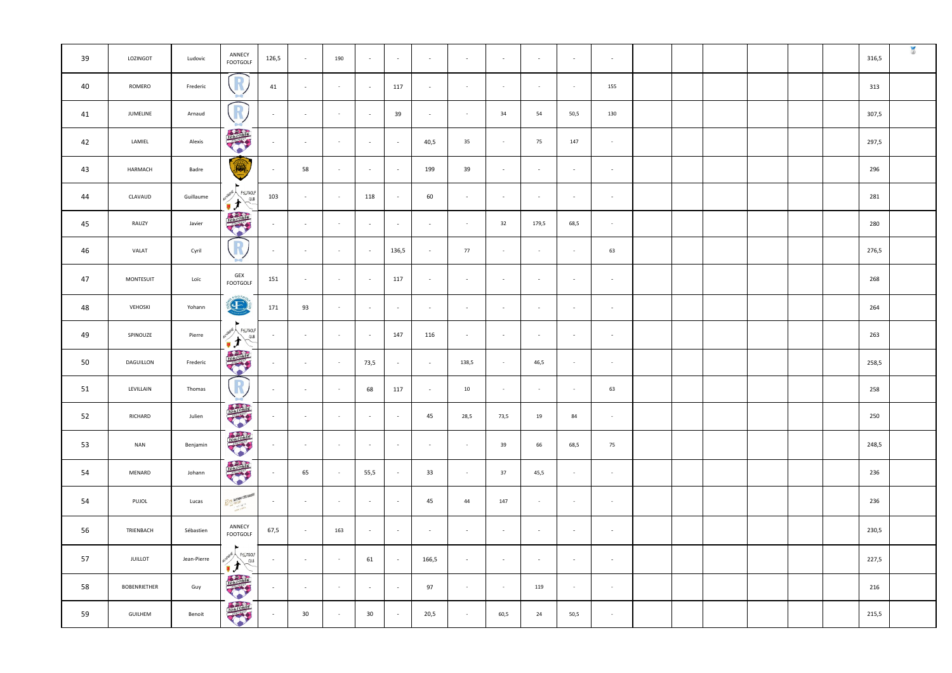| 39 | LOZINGOT            | Ludovic     | ANNECY<br><b>FOOTGOLF</b>                                   | 126,5                    | $\sim$ $-$     | 190    | $\sim$ $ \sim$ | $\sim$         | $\sim$ | $\sim$                   | $\sim$                   | $\sim$ $-$ | $\sim$     | $\sim$     |  |  |  | 316,5 |  |
|----|---------------------|-------------|-------------------------------------------------------------|--------------------------|----------------|--------|----------------|----------------|--------|--------------------------|--------------------------|------------|------------|------------|--|--|--|-------|--|
| 40 | ROMERO              | Frederic    | R                                                           | 41                       | $\sim$         | $\sim$ | $\sim$ $ \sim$ | 117            | $\sim$ | $\sim$ $-$               | $\sim$                   | $\sim$     | $\sim$     | 155        |  |  |  | 313   |  |
| 41 | JUMELINE            | Arnaud      | <sup>R</sup>                                                | $\sim$                   | $\sim$         | $\sim$ | $\sim$         | 39             | $\sim$ | $\sim$                   | 34                       | 54         | 50,5       | 130        |  |  |  | 307,5 |  |
| 42 | LAMIEL              | Alexis      | TOLLOWSE                                                    | $\sim$                   | $\sim$         | $\sim$ | $\sim$         | $\overline{a}$ | 40,5   | 35                       | $\sim$                   | 75         | 147        | $\sim$ $-$ |  |  |  | 297,5 |  |
| 43 | HARMACH             | Badre       | O.                                                          | $\sim$                   | 58             | $\sim$ | $\sim$         | $\sim$         | 199    | 39                       | $\sim$                   | $\sim$     | $\sim$     | $\sim$     |  |  |  | 296   |  |
| 44 | CLAVAUD             | Guillaume   | NERGNE A<br>FEUTGOLF<br>CLUB<br>てナ                          | 103                      | $\sim$         | $\sim$ | 118            | $\sim$         | 60     | $\sim$                   | $\sim$                   | $\sim$     | $\sim$     | $\sim$     |  |  |  | 281   |  |
| 45 | RAUZY               | Javier      | <b>TOLOGISE</b>                                             | $\sim$                   | $\sim$         | $\sim$ | $\sim$         | $\sim$         | $\sim$ | $\sim$                   | 32                       | 179,5      | 68,5       | $\sim$     |  |  |  | 280   |  |
| 46 | VALAT               | Cyril       | $\sqrt{R}$                                                  | $\sim$                   | $\sim$         | $\sim$ | $\sim$ $-$     | 136,5          | $\sim$ | 77                       | $\sim$                   | $\sim$ $-$ | $\sim$ $-$ | 63         |  |  |  | 276,5 |  |
| 47 | <b>MONTESUIT</b>    | Loïc        | GEX<br><b>FOOTGOLF</b>                                      | 151                      | $\sim$         | $\sim$ | $\sim$ $-$     | 117            | $\sim$ | $\overline{\phantom{a}}$ | $\sim$                   | $\sim$ $-$ | $\sim$     | $\sim$     |  |  |  | 268   |  |
| 48 | VEHOSKI             | Yohann      | 60076<br>E                                                  | 171                      | 93             | $\sim$ | $\sim$         | $\sim$         | $\sim$ | $\overline{\phantom{a}}$ | $\sim$                   | $\sim$     | $\sim$     | $\sim$     |  |  |  | 264   |  |
| 49 | SPINOUZE            | Pierre      | $\blacktriangleright$<br>WERGNE A<br>FEUTGOLF<br>Autor CLUB | $\sim$ $-$               | $\sim$ $ \sim$ | $\sim$ | $\sim$ $ \sim$ | 147            | 116    | $\sim$                   | $\sim$                   | $\sim$     | $\sim$     | $\sim$     |  |  |  | 263   |  |
| 50 | DAGUILLON           | Frederic    | TOLLOWSE                                                    | $\sim$                   | $\sim$         | $\sim$ | 73,5           | $\overline{a}$ | $\sim$ | 138,5                    | $\sim$                   | 46,5       | $\sim$     | $\sim$ $-$ |  |  |  | 258,5 |  |
| 51 | LEVILLAIN           | Thomas      | $\left(\right)$                                             | $\sim$                   | $\sim$         | $\sim$ | 68             | 117            | $\sim$ | 10                       | $\sim$                   | $\sim$     | $\sim$     | 63         |  |  |  | 258   |  |
| 52 | RICHARD             | Julien      | TOLLOGIC                                                    | $\sim$                   | $\sim$ $ \sim$ | $\sim$ | $\sim$ $ \sim$ | $\sim$         | 45     | 28,5                     | 73,5                     | 19         | 84         | $\sim$ $-$ |  |  |  | 250   |  |
| 53 | <b>NAN</b>          | Benjamin    | <b>TOLEDONS</b>                                             | $\sim$                   | $\sim$         | $\sim$ | $\sim$         | $\sim$         | $\sim$ | $\sim$                   | 39                       | 66         | 68,5       | 75         |  |  |  | 248,5 |  |
| 54 | MENARD              | Johann      | TOLLONS                                                     | $\sim$                   | 65             | $\sim$ | 55,5           | $\sim$         | 33     | $\sim$                   | 37                       | 45,5       | $\sim$     | $\sim$ $-$ |  |  |  | 236   |  |
| 54 | PUJOL               | Lucas       | ASPIT BAYONAE COTE BASQUE                                   | $\sim$                   | $\sim$         | $\sim$ | $\sim$         | $\sim$         | 45     | 44                       | 147                      | $\sim$     | $\sim$     | $\sim$ $-$ |  |  |  | 236   |  |
| 56 | TRIENBACH           | Sébastien   | ANNECY<br><b>FOOTGOLF</b>                                   | 67,5                     | $\sim$         | 163    | $\sim$         | $\sim$         | $\sim$ | $\overline{\phantom{a}}$ | $\overline{\phantom{a}}$ | $\sim$     | $\sim$     | $\sim$     |  |  |  | 230,5 |  |
| 57 | <b>JUILLOT</b>      | Jean-Pierre | <b>INBRATE / FEDTGOLF</b><br>where you all to               | $\sim$ $-$               | $\sim$         | $\sim$ | 61             | $\sim$         | 166,5  | $\sim$                   | $\sim$                   | $\sim$     | $\sim$     | $\sim$     |  |  |  | 227,5 |  |
| 58 | <b>BOBENRIETHER</b> | Guy         | TOULOUSE                                                    | $\sim$                   | $\sim$         | $\sim$ | $\sim$ $ \sim$ | $\sim$         | 97     | $\sim$                   | $\sim$ $-$               | 119        | $\sim$ $-$ | $\sim$     |  |  |  | 216   |  |
| 59 | <b>GUILHEM</b>      | Benoit      | TOMORES                                                     | $\overline{\phantom{a}}$ | 30             | $\sim$ | 30             | $\sim$         | 20,5   | $\sim$                   | 60,5                     | 24         | 50,5       | $\sim$ $-$ |  |  |  | 215,5 |  |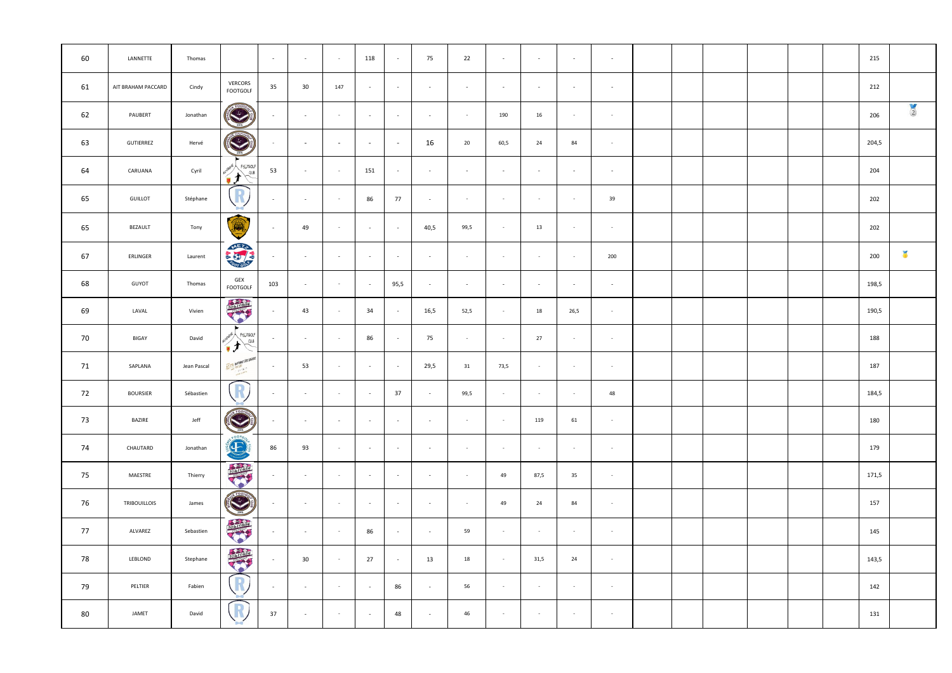| 60 | LANNETTE            | Thomas      |                                        | $\sim$ $-$               | $\sim$                   | $\sim$ | 118            | $\sim$                   | 75                       | 22                       | $\sim$     | $\sim$ $-$ | $\sim$     | $\sim$     |  |  |  | 215   |               |
|----|---------------------|-------------|----------------------------------------|--------------------------|--------------------------|--------|----------------|--------------------------|--------------------------|--------------------------|------------|------------|------------|------------|--|--|--|-------|---------------|
| 61 | AIT BRAHAM PACCARD  | Cindy       | VERCORS<br><b>FOOTGOLF</b>             | 35                       | 30                       | 147    | $\sim$         | $\sim$                   | $\sim$                   | $\overline{\phantom{a}}$ | $\sim$     | $\sim$     | $\sim$     | $\sim$     |  |  |  | 212   |               |
| 62 | PAUBERT             | Jonathan    | S                                      | $\sim$                   | $\sim$                   | $\sim$ | $\sim$         | $\sim$                   | $\sim$                   | $\sim$                   | 190        | 16         | $\sim$     | $\sim$     |  |  |  | 206   | $\frac{1}{2}$ |
| 63 | <b>GUTIERREZ</b>    | Hervé       | <b>CERTIFICATE</b>                     | $\sim$                   | $\sim$                   | $\sim$ | $\sim$         | $\sim$                   | 16                       | 20                       | 60,5       | 24         | 84         | $\sim$ $-$ |  |  |  | 204,5 |               |
| 64 | CARUANA             | Cyril       | FEUTGOLF<br>$\sim$<br>るす               | 53                       | $\sim$                   | $\sim$ | 151            | $\sim$                   | $\sim$                   | $\sim$                   | $\sim$     | $\sim$     | $\sim$     | $\sim$     |  |  |  | 204   |               |
| 65 | <b>GUILLOT</b>      | Stéphane    | R                                      | $\sim$                   | $\sim$                   | $\sim$ | 86             | 77                       | $\sim$                   | $\sim$                   | $\sim$     | $\sim$     | $\sim$     | 39         |  |  |  | 202   |               |
| 65 | BEZAULT             | Tony        | ∽<br>Ô.                                | $\sim$                   | 49                       | $\sim$ | $\sim$         | $\sim$                   | 40,5                     | 99,5                     | $\sim$     | 13         | $\sim$     | $\sim$     |  |  |  | 202   |               |
| 67 | ERLINGER            | Laurent     | <b>META</b>                            | $\sim$                   | $\sim$                   | $\sim$ | $\sim$         | $\sim$                   | $\sim$                   | $\sim$                   | $\sim$     | $\sim$     | $\sim$ $-$ | 200        |  |  |  | 200   | $\frac{1}{2}$ |
| 68 | GUYOT               | Thomas      | GEX<br><b>FOOTGOLF</b>                 | 103                      | $\sim$                   | $\sim$ | $\sim$ $-$     | 95,5                     | $\sim$                   | $\overline{\phantom{a}}$ | $\sim$     | $\sim$     | $\sim$     | $\sim$     |  |  |  | 198,5 |               |
| 69 | LAVAL               | Vivien      | <b>TOLOGIS</b>                         | $\sim$                   | 43                       | $\sim$ | 34             | $\sim$                   | 16,5                     | 52,5                     | $\sim$     | 18         | 26,5       | $\sim$     |  |  |  | 190,5 |               |
| 70 | BIGAY               | David       | · INERGIVE<br>FEOTGOLF<br>$\sim$<br>ィナ | $\sim$                   | $\sim$                   | $\sim$ | 86             | $\overline{\phantom{a}}$ | 75                       | $\sim$                   | $\sim$     | 27         | $\sim$     | $\sim$     |  |  |  | 188   |               |
| 71 | SAPLANA             | Jean Pascal | ASPIT BAYONAE COTE BASQUE              | $\sim$                   | 53                       | $\sim$ | $\sim$         | $\sim$                   | 29,5                     | 31                       | 73,5       | $\sim$     | $\sim$ $-$ | $\sim$     |  |  |  | 187   |               |
| 72 | <b>BOURSIER</b>     | Sébastien   | R                                      | $\overline{\phantom{a}}$ | $\overline{\phantom{a}}$ | $\sim$ | $\sim$         | 37                       | $\overline{\phantom{a}}$ | 99,5                     | $\sim$     | $\sim$     | $\sim$     | 48         |  |  |  | 184,5 |               |
| 73 | <b>BAZIRE</b>       | Jeff        | $\sqrt{100}$<br><b>CALC AND STATE</b>  | $\sim$                   | $\sim$                   | $\sim$ | $\sim$         | $\sim$                   | $\sim$                   | $\sim$                   | $\sim$ $-$ | 119        | 61         | $\sim$     |  |  |  | 180   |               |
| 74 | CHAUTARD            | Jonathan    | FOOTGO<br>O                            | 86                       | 93                       | $\sim$ | $\sim$ $ \sim$ | $\sim$                   | $\sim$                   | $\sim$ $-$               | $\sim$ $-$ | $\sim$     | $\sim$ $-$ | $\sim$     |  |  |  | 179   |               |
| 75 | MAESTRE             | Thierry     | TONOMIC                                | $\sim$                   | $\sim$                   | $\sim$ | $\sim$ $ \sim$ | $\sim$                   | $\sim$                   | $\sim$                   | 49         | 87,5       | 35         | $\sim$     |  |  |  | 171,5 |               |
| 76 | <b>TRIBOUILLOIS</b> | James       | <b>CONSTRUCTION</b>                    | $\sim$                   | $\sim$                   | $\sim$ | $\sim$ $ \sim$ | $\sim$                   | $\sim$                   | $\sim$ $-$               | 49         | 24         | 84         | $\sim$     |  |  |  | 157   |               |
| 77 | ALVAREZ             | Sebastien   | rotroide                               | $\sim$                   | $\sim$                   | $\sim$ | 86             | $\sim$                   | $\sim$                   | 59                       | $\sim$     | $\sim$     | $\sim$ $-$ | $\sim$ $-$ |  |  |  | 145   |               |
| 78 | LEBLOND             | Stephane    | TOLLLOWS                               | $\sim$                   | 30                       | $\sim$ | 27             | $\sim$                   | 13                       | 18                       | $\sim$ $-$ | 31,5       | 24         | $\sim$ $-$ |  |  |  | 143,5 |               |
| 79 | PELTIER             | Fabien      | R                                      | $\sim$                   | $\sim$ $-$               | $\sim$ | $\sim$ $-$     | 86                       | $\sim$                   | 56                       | $\sim$     | $\sim$ $-$ | $\sim$ $-$ | $\sim$     |  |  |  | 142   |               |
| 80 | JAMET               | David       | R                                      | 37                       | $\overline{\phantom{a}}$ | $\sim$ | $\sim$ $-$     | 48                       | $\sim$                   | 46                       | $\sim$     | $\sim$ $-$ | $\sim$ $-$ | $\sim$     |  |  |  | 131   |               |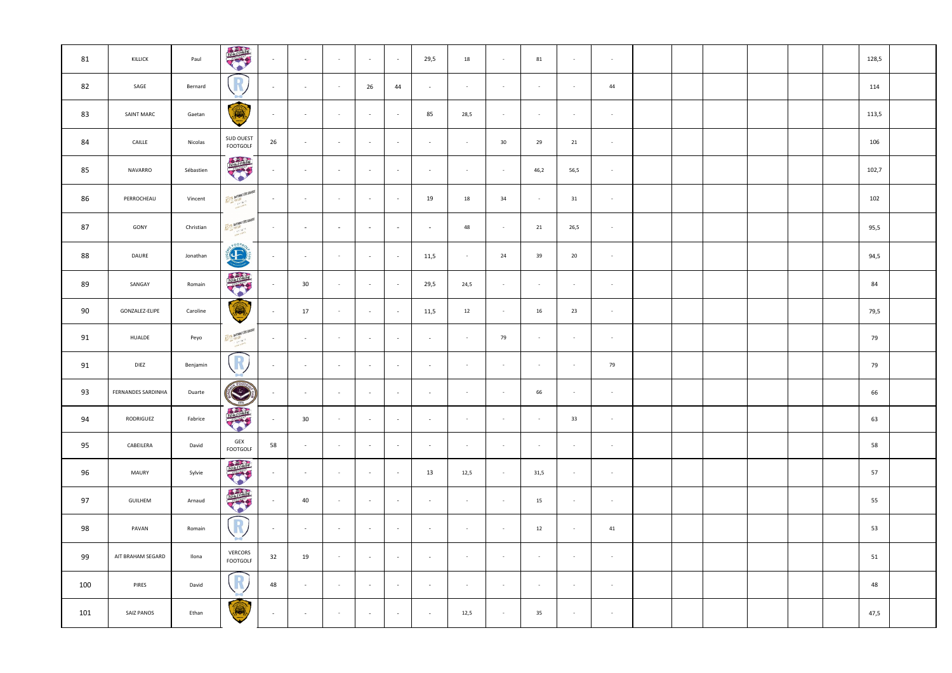| 81  | KILLICK            | Paul      | TOLLOOKS                            | $\sim 10^{-1}$ | $\sim$ $-$               | $\sim$                   | $\sim$         | $\sim$         | 29,5           | 18         | $\sim$ $-$ | 81         | $\sim$     | $\sim$ $-$ |  |  |  | 128,5 |  |
|-----|--------------------|-----------|-------------------------------------|----------------|--------------------------|--------------------------|----------------|----------------|----------------|------------|------------|------------|------------|------------|--|--|--|-------|--|
| 82  | SAGE               | Bernard   |                                     | $\sim$         | $\sim$                   | $\sim$                   | 26             | 44             | $\sim$         | $\sim$     | $\sim$     | $\sim$     | $\sim$     | 44         |  |  |  | 114   |  |
| 83  | <b>SAINT MARC</b>  | Gaetan    | ∽<br>Q.                             | $\sim$         | $\overline{\phantom{a}}$ |                          | $\sim$         | $\sim$         | 85             | 28,5       | $\sim$     |            |            | $\sim$     |  |  |  | 113,5 |  |
| 84  | CAILLE             | Nicolas   | <b>SUD OUEST</b><br><b>FOOTGOLF</b> | 26             | $\sim$                   | $\sim$                   | $\sim$         | $\sim$         | $\sim$         | $\sim$     | 30         | 29         | 21         | $\sim$ $-$ |  |  |  | 106   |  |
| 85  | NAVARRO            | Sébastien | TOLLOONS                            | $\sim$         | $\sim$                   | $\sim$                   | $\sim$         | $\sim$         | $-$            | $\sim$     | $\sim$     | 46,2       | 56,5       | $\sim$     |  |  |  | 102,7 |  |
| 86  | PERROCHEAU         | Vincent   | ASPIT BAYONAE COTE BASQUE           | $\sim$         | $\sim$                   | $\sim$                   | $\sim$ $-$     | $\sim$         | 19             | 18         | 34         | $\sim$     | 31         | $\sim$ $-$ |  |  |  | 102   |  |
| 87  | GONY               | Christian | ASPIT BAYONAL COTE BASQUE           | $\sim$         | $\sim$                   | $\overline{\phantom{a}}$ | $\sim$         | $\sim$         | $\overline{a}$ | 48         | $\sim$     | 21         | 26,5       | $\sim$     |  |  |  | 95,5  |  |
| 88  | DAURE              | Jonathan  | <b>CONSTRUCTION</b>                 | $\sim$         | $\sim$                   | $\sim$                   | $\sim$         | $\sim$         | 11,5           | $\sim$ $-$ | 24         | 39         | 20         | $\sim$     |  |  |  | 94,5  |  |
| 89  | SANGAY             | Romain    | TOULOUSE                            | $\sim$         | 30                       | $\sim$                   | $\sim$         | $\sim$         | 29,5           | 24,5       | $\sim$     | $\sim$     | $\sim$     | $\sim$     |  |  |  | 84    |  |
| 90  | GONZALEZ-ELIPE     | Caroline  | $\circledR$                         | $\sim$         | 17                       | $\sim$                   | $\sim$         | $\sim$         | 11,5           | 12         | $\sim$     | 16         | 23         | $\sim$     |  |  |  | 79,5  |  |
| 91  | <b>HUALDE</b>      | Peyo      | ASPIT BAYONAE COTE BASQUE           | $\sim$         | $\sim$                   | $\sim$                   | $\sim$ $-$     | $\sim$         | $\sim$         | $\sim$ $-$ | 79         | $\sim$ $-$ | $\sim$ $-$ | $\sim$     |  |  |  | 79    |  |
| 91  | <b>DIEZ</b>        | Benjamin  | R                                   | $\sim$         | $\sim$                   | $\sim$                   | $\sim$         | $\sim$         | $\overline{a}$ | $\sim$     | $\sim$     | $\sim$ $-$ | $\sim$ $-$ | 79         |  |  |  | 79    |  |
| 93  | FERNANDES SARDINHA | Duarte    | <b>CONTROLLED</b><br>2015           |                | $\sim$                   | $\sim$                   | $\sim$         | $\sim$         | $\sim$         | $\sim$     | $\sim$     | 66         | $\sim$     | $\sim$     |  |  |  | 66    |  |
| 94  | RODRIGUEZ          | Fabrice   | <b>RATION</b>                       | $\sim$         | 30                       | $\sim$                   | $\sim$ $ \sim$ | $\sim$ $ \sim$ | $\sim$         | $\sim$     | $\sim$     | $\sim$ $-$ | 33         | $\sim$ $-$ |  |  |  | 63    |  |
| 95  | CABEILERA          | David     | GEX<br><b>FOOTGOLF</b>              | 58             | $\sim$                   | $\sim$                   | $\sim$         | $\sim$         | $\overline{a}$ | $\sim$     | $\sim$     | $\sim$     | $\sim$     | $\sim$     |  |  |  | 58    |  |
| 96  | <b>MAURY</b>       | Sylvie    | <b>TOLOGIST</b>                     | $\sim$         | $\sim$                   | $\sim$                   | $\sim$         | $\sim$         | 13             | 12,5       | $\sim$ $-$ | 31,5       | $\sim$     | $\sim$     |  |  |  | 57    |  |
| 97  | <b>GUILHEM</b>     | Arnaud    | TOLLOGISC                           | $\sim$         | 40                       | $\sim$                   | $\sim$         | $\sim$         | $\sim$         | $\sim$ $-$ | $\sim$     | 15         | $\sim$     | $\sim$     |  |  |  | 55    |  |
| 98  | PAVAN              | Romain    | R<br>╰                              | $\sim$         | $\sim$                   | $\sim$                   | $\sim$         | $\sim$         | $\overline{a}$ | $\sim$     | $\sim$     | 12         | $\sim$     | 41         |  |  |  | 53    |  |
| 99  | AIT BRAHAM SEGARD  | Ilona     | <b>VERCORS</b><br><b>FOOTGOLF</b>   | 32             | 19                       | $\sim$                   | $\sim$         | $\sim$         | $\sim$         | $\sim$     | $\sim$ $-$ | $\sim$     | $\sim$ $-$ | $\sim$ $-$ |  |  |  | 51    |  |
| 100 | <b>PIRES</b>       | David     | $\left(\mathbb{R}\right)$           | 48             | $\sim$                   | $\sim$                   | $\sim$         | $\sim$         | $\sim$         | $\sim$     | $\sim$     | $\sim$ $-$ | $\sim$ $-$ | $\sim$ $-$ |  |  |  | 48    |  |
| 101 | SAIZ PANOS         | Ethan     | $\circledR$                         | $\sim$         | $\sim$                   | $\sim$                   | $\sim$         | $\sim$         | $\sim$         | 12,5       | $\sim$     | 35         | $\sim$     | $\sim$ $-$ |  |  |  | 47,5  |  |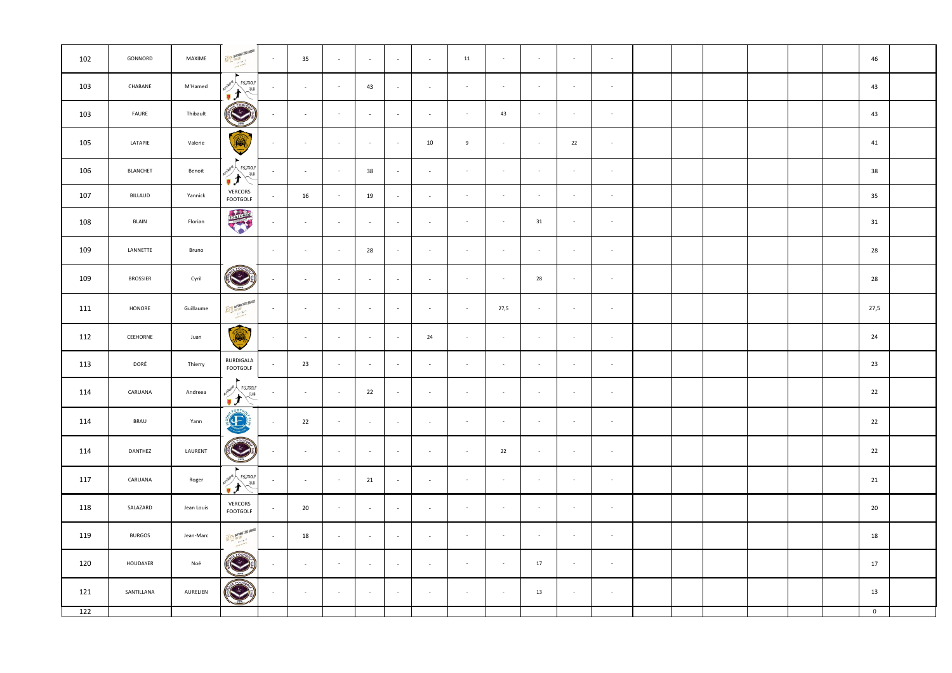| 102              | GONNORD         | MAXIME     | ASPIT BAYONNE COTE BASQUE                                           | $\sim$         | 35             | $\sim$                   | $\sim$ $-$     | $\sim$     | $\sim$ | 11         | $\sim$     | $\sim$ $-$ | $\sim$ $-$ | $\sim$     |  |  |  | 46             |  |
|------------------|-----------------|------------|---------------------------------------------------------------------|----------------|----------------|--------------------------|----------------|------------|--------|------------|------------|------------|------------|------------|--|--|--|----------------|--|
| 103              | CHABANE         | M'Hamed    | <b>NERGIVE &amp;</b><br>FEUTGOLF<br>CLUB<br>しょう<br>Ñ                | $\sim$         | $\sim$ $ \sim$ | $\sim$                   | 43             | $\sim$     | $\sim$ | $\sim$     | $\sim$     | $\sim$     | $\sim$     | $\sim$     |  |  |  | 43             |  |
| 103              | FAURE           | Thibault   | FOOT                                                                | $\sim$         | $\sim$         | $\sim$                   | $\sim$         | $\sim$     | $\sim$ | $\sim$     | 43         | $\sim$     | $\sim$     | $\sim$     |  |  |  | 43             |  |
| 105              | LATAPIE         | Valerie    | Ó                                                                   | $\sim$         | $\sim$         | $\sim$                   | $\sim$         | $\sim$     | 10     | 9          | $\sim$     | $\sim$     | 22         | $\sim$ $-$ |  |  |  | 41             |  |
| 106              | <b>BLANCHET</b> | Benoit     | <b>VERGNE</b><br>FEUTGOLF<br>$\sqrt{\frac{CLUB}{}}$<br>$\mathbf{r}$ | $\sim$         | $\sim$ $ \sim$ | $\sim$                   | 38             | $\sim$     | $\sim$ | $\sim$     | $\sim$ $-$ | $\sim$     | $\sim$ $-$ | $\sim$     |  |  |  | 38             |  |
| 107              | <b>BILLAUD</b>  | Yannick    | VERCORS<br>FOOTGOLF                                                 | $\sim$ $-$     | 16             | $\sim$                   | 19             | $\sim$     | $\sim$ | $\sim$     | $\sim$     | $\sim$     | $\sim$     | $\sim$ $-$ |  |  |  | 35             |  |
| 108              | <b>BLAIN</b>    | Florian    | <b>TOLIDAGE</b>                                                     | $\sim$         | $\sim$         | $\sim$                   | $\sim$         | $\sim$     | $\sim$ | $\sim$     | $\sim$     | 31         | $\sim$ $-$ | $\sim$     |  |  |  | 31             |  |
| 109              | LANNETTE        | Bruno      |                                                                     | $\sim$ $ \sim$ | $\sim$         | $\sim$ $-$               | 28             | $\sim$     | $\sim$ | $\sim$     | $\sim$ $-$ | $\sim$ $-$ | $\sim$ $-$ | $\sim$     |  |  |  | 28             |  |
| 109              | <b>BROSSIER</b> | Cyril      | ٣                                                                   | $\sim$         | $\sim$ $ \sim$ | $\sim$                   | $\sim$ $ \sim$ | $\sim$     | $\sim$ | $\sim$     | $\sim$     | 28         | $\sim$     | $\sim$     |  |  |  | 28             |  |
| 111              | HONORE          | Guillaume  | ASPIT BAYONA FOOTE BASQUE                                           | $\sim$         | $\sim$         | $\sim$                   | $\sim$         | $\sim$     | $\sim$ | $\sim$ $-$ | 27,5       | $\sim$ $-$ | $\sim$ $-$ | $\sim$     |  |  |  | 27,5           |  |
| 112              | CEEHORNE        | Juan       | 6                                                                   | $\sim$         | $\sim$         | $\overline{\phantom{0}}$ | $\sim$         | $\sim$     | 24     | $\sim$     | $\sim$ $-$ | $\sim$ $-$ | $\sim$     | $\sim$     |  |  |  | 24             |  |
| 113              | DORÉ            | Thierry    | <b>BURDIGALA</b><br>FOOTGOLF                                        | $\sim$         | 23             | $\sim$                   | $\sim$         | $\sim$     | $\sim$ | $\sim$     | $\sim$     | $\sim$     | $\sim$     | $\sim$     |  |  |  | 23             |  |
| 114              | CARUANA         | Andreea    | ►<br>Aunexexe FELTGOLF                                              | $\sim$         | $\sim$         | $\sim$                   | 22             | $\sim$     | $\sim$ | $\sim$     | $\sim$     | $\sim$     | $\sim$     | $\sim$ $-$ |  |  |  | 22             |  |
| 114              | <b>BRAU</b>     | Yann       | <b>READER</b>                                                       | $\sim$         | 22             | $\sim$                   | $\sim$         | $\sim$     | $\sim$ | $\sim$ $-$ | $\sim$ $-$ | $\sim$     | $\sim$ $-$ | $\sim$     |  |  |  | 22             |  |
| 114              | DANTHEZ         | LAURENT    | <b>CENT</b>                                                         | $\sim$         | $\sim$         | $\sim$                   | $\sim$ $ \sim$ | $\sim$     | $\sim$ | $\sim$     | 22         | $\sim$     | $\sim$ $-$ | $\sim$     |  |  |  | 22             |  |
| 117              | CARUANA         | Roger      | AUVERGNE FELTGOLF                                                   | $\sim$         | $\sim$         | $\sim$                   | 21             | $\sim$     | $\sim$ | $\sim$     | $\sim$ $-$ | $\sim$ $-$ | $\sim$ $-$ | $\sim$     |  |  |  | 21             |  |
| 118              | SALAZARD        | Jean Louis | VERCORS<br><b>FOOTGOLF</b>                                          | $\sim$         | 20             | $\sim$                   | $\sim$         | $\sim$     | $\sim$ | $\sim$     | $\sim$ $-$ | $\sim$     | $\sim$     | $\sim$     |  |  |  | 20             |  |
| 119              | <b>BURGOS</b>   | Jean-Marc  | ASPIT BAYONAFE COTE BASQUE                                          | $\sim$         | 18             | $\sim$                   | $\sim$ $ \sim$ | $\sim$     | $\sim$ | $\sim$ $-$ | $\sim$ $-$ | $\sim$ $-$ | $\sim$ $-$ | $\sim$     |  |  |  | 18             |  |
| 120              | HOUDAYER        | Noé        | $+ 5007$<br>$\left(\frac{1}{1015}\right)$                           | $\sim$         | $\sim$ $ \sim$ | $\sim$                   | $\sim$ $-$     | $\sim$     | $\sim$ | $\sim$ $-$ | $\sim$ $-$ | 17         | $\sim$ $-$ | $\sim$     |  |  |  | 17             |  |
| 121              | SANTILLANA      | AURELIEN   | <b>CENT</b>                                                         | $\sim$         | $\sim$         | $\sim$                   | $\sim$ $ \sim$ | $\sim$ $-$ | $\sim$ | $\sim$ $-$ | $\sim$     | 13         | $\sim$     | $\sim$     |  |  |  | 13             |  |
| $\overline{122}$ |                 |            |                                                                     |                |                |                          |                |            |        |            |            |            |            |            |  |  |  | $\overline{0}$ |  |